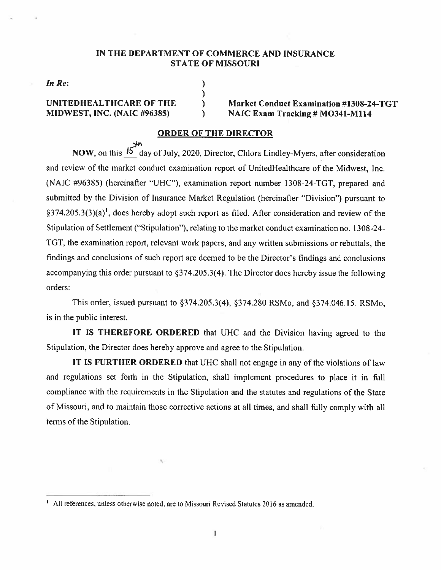#### IN THE DEPARTMENT OF COMMERCE AND INSURANCE STATE OF MISSOURI

 $\lambda$ 

In Re:  $\qquad \qquad$ )

## UNITEDHEALTHCARE OF THE ) Market Conduct Examination #1308-24-TGT<br>MIDWEST, INC. (NAIC #96385) ) NAIC Exam Tracking # MO341-M114  $M = N AIC Exam Tracking # MO341-M114$

#### ORDER OF THE DIRECTOR

NOW, on this  $\overrightarrow{15}$  day of July, 2020, Director, Chlora Lindley-Myers, after consideration and review of the market conduct examination report of UnitedHealthcare of the Midwest, Inc. (NAIC #96385) (hereinafter "UHC"), examination report number 1308-24-TGT, prepared and submitted by the Division of insurance Market Regulation (hereinafter "Division") pursuan<sup>t</sup> to  $\S 374.205.3(3)(a)<sup>1</sup>$ , does hereby adopt such report as filed. After consideration and review of the Stipulation of Settlement ("Stipulation"), relating to the market conduct examination no. 1308—24— TGT, the examination report, relevant work papers, and any written submissions or rebuttals, the findings and conclusions of such repor<sup>t</sup> arc deemed to be the Director's findings and conclusions accompanying this order pursuan<sup>t</sup> to §374.205.3(4). The Director does hereby issue the following orders:

This order, issued pursuan<sup>t</sup> to §374.205.3(4), §374,280 RSMo, and §374.046.15. RSMo, is in the public interest.

IT IS THEREFORE ORDERED that UHC and the Division having agreed to the Stipulation, the Director does hereby approve and agree to the Stipulation.

IT IS FURTHER ORDERED that UHC shall not engage in any of the violations of law and regulations set forth in the Stipulation, shall implement procedures to <sup>p</sup>lace it in ftill compliance with the requirements in the Stipulation and the statutes and regulations of the State of Missouri. and to maintain those corrective actions at all times, and shall fully comply with all terms of the Stipulation.

<sup>&</sup>lt;sup>1</sup> All references, unless otherwise noted, are to Missouri Revised Statutes 2016 as amended.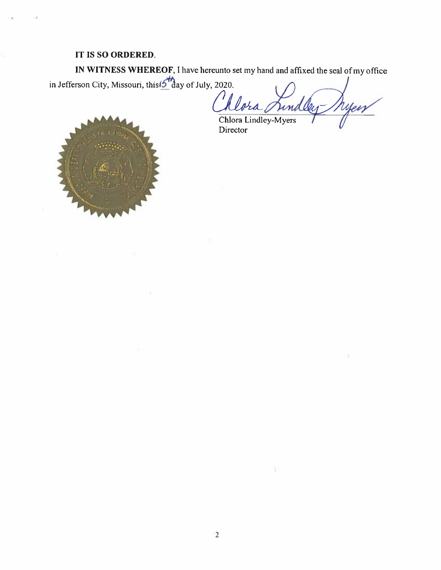## IT IS SO ORDERED.

in Jefferson City, Missouri, this  $\frac{1}{2}$  day of July, 2020. IN WITNESS VHEREOF. <sup>I</sup> have hereunto set my hand and affixed the seal of my office

ra md yeis /



Director Chiora Lindlev-Myers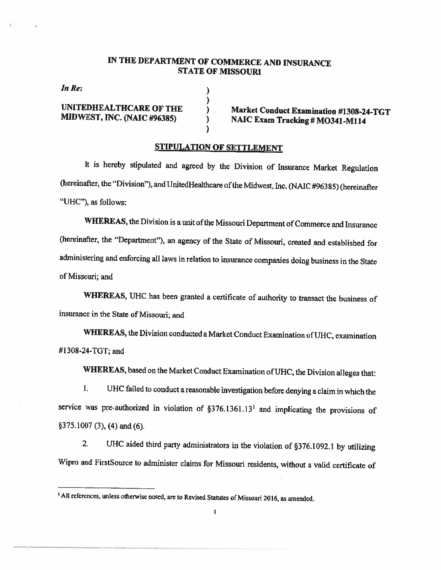## IN THE DEPARTMENT OF COMMERCE AND INSURANCE STATE OF MISSOURI

In Re:

UNITEDHEALTHCARE OF THE )<br>
Market Conduct Examination #1308-24-TGT<br>
MIDWEST, INC. (NAIC #96385) ) NAIC Exam Tracking # MO341-M114

#### STIPULATION OF SETTLEMENT

)

 $\mathcal{E}$ 

It is hereby stipulated and agreed by the Division of Insurance Market Regulation (hereinafter, the "Division"), and UnitedHealthcare ofthe Midwest, Inc. (NAIC #963 85) (hereinafler "UHC"), as follows:

WHEREAS, the Division is a unit of the Missouri Department of Commerce and Insurance (hereinafter, the "Department"), an agency of the State of Missouri, creaied and established for administering and enforcing all laws in relation to insurance companies doing business in the State of Missouri; and

WHEREAS, UHC has been granted <sup>a</sup> certificate of authority to transact the business of insurance in the State of Missouri; and

WHEREAS, the Division conducted <sup>a</sup> Market Conduct Examination of UHC, examination #1308-24-TGT; and

WHEREAS, based on the Market Conduct Examination of UHC, the Division alleges that:

I. UHC failed to conduct <sup>a</sup> reasonable investigation before denying <sup>a</sup> claim in which the service was pre-authorized in violation of  $\S 376.1361.13<sup>1</sup>$  and implicating the provisions of §375.1007 (3), (4) and (6).

2. UHC aided third party administrators in the violation of §376.1092.1 by utilizing Wipro and FirstSource to administer claims for Missouri residents, without <sup>a</sup> valid certificate of

<sup>&</sup>lt;sup>1</sup> All references, unless otherwise noted, are to Revised Statutes of Missouri 2016, as amended.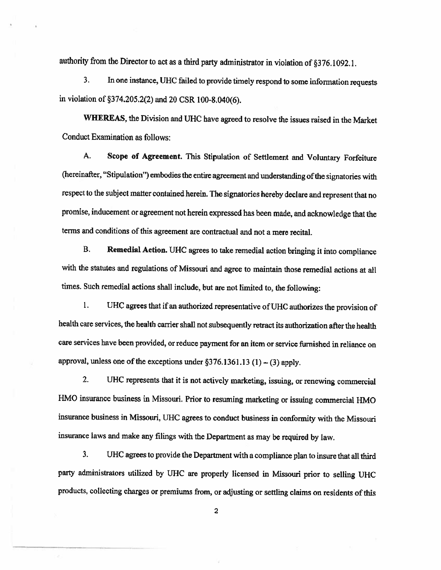authority from the Director to act as a third party administrator in violation of  $\S 376.1092.1$ .

3. In one instance, UHC failed to provide timely respond to some information requests in violation of §374.205.2(2) and <sup>20</sup> CSR 100-8.040(6).

WHEREAS, the Division and UHC have agreed to resolve the issues raised in the Market Conduct Examination as follows:

A. Scope of Agreement. This Stipulation of Settlement and voluntary Forfeiture (hereinafter, "Stipulation") embodies the entire agreement and understanding ofthe signatories with respect to the subject matter contained herein. The signatories hereby declare and represent that no promise, inducement or agreement not herein expressed has been made, and acknowledge that the terms and conditions of this agreement are contractual and not <sup>a</sup> mere recital.

B. Remedial Action. UHC agrees to take remedial action bringing it into compliance with the statutes and regulations of Missouri and agree to maintain those remedial actions at all times. Such remedial actions shall include, but are not limited to, the following:

1. UHC agrees that if an authorized representative of UHC authorizes the provision of health care services, the health carrier shall not subsequently retract its authorization after the health care services have been provided, or reduce payment for an item or service furnished in reliance on approval, unless one of the exceptions under  $\S 376.1361.13(1) - (3)$  apply.

2. UHC represents that it is not actively marketing, issuing, or renewing commercial HMO insurance business in Missouri. Prior to resuming marketing or issuing commercial HMO insurance business in Missouri, UHC agrees to conduct business in conformity with the Missouri insurance laws and make any filings with the Department as may be required by law.

3. UHC agrees to provide the Department with a compliance plan to insure that all third party administrators utilized by UHC are properly licensed in Missouri prior to selling UHC products, collecting charges or premiums from, or adjusting or settling claims on residents of this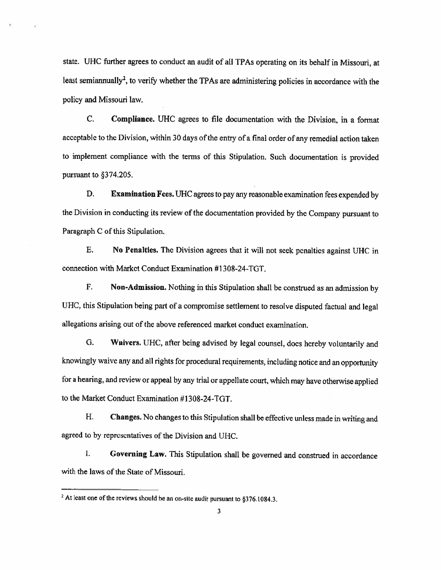state. UHC further agrees to conduct an audit of all TPAs operating on its behalf in Missouri, at least semiannually<sup>2</sup>, to verify whether the TPAs are administering policies in accordance with the policy and Missouri law.

C. Compliance. UHC agrees to file documentation with the Division, in <sup>a</sup> format acceptable to the Division, within 30 days of the entry of a final order of any remedial action taken to implement compliance with the terms of this Stipulation. Such documentation is provided pursuant to §374.205.

D. Examination Fees. UHC agrees to pay any reasonable examination fees expended by the Division in conducting its review of the documentation provided by the Company pursuant to Paragraph C of this Stipulation.

E. No Penalties. The Division agrees that it will not seek penalties against UHC in connection with Market Conduct Examination #1308-24-TOT.

F. Non-Admission. Nothing in this Stipulation shall be construed as an admission by UHC. this Stipulation being part of <sup>a</sup> compromise settlement to resolve disputed factual and legal allegations arising out of the above referenced market conduct examination.

G. Waivers. UHC, after being advised by legal counsel, does hereby voluntarily and knowingly waive any and all rights for procedural requirements. including notice and an opportunity for <sup>a</sup> hearing, and review or appeal by any trial or appellate court, which may have otherwise applied to the Market Conduct Examination #1308-24-TOT.

H. Changes. No changes to this Stipulation shall be effective unless made in writing and agreed to by representatives of the Division and UHC.

I. Governing Law. This Stipulation shall be governed and construed in accordance with the laws of the State of Missouri.

<sup>&</sup>lt;sup>2</sup> At least one of the reviews should be an on-site audit pursuant to  $\S 376.1084.3$ .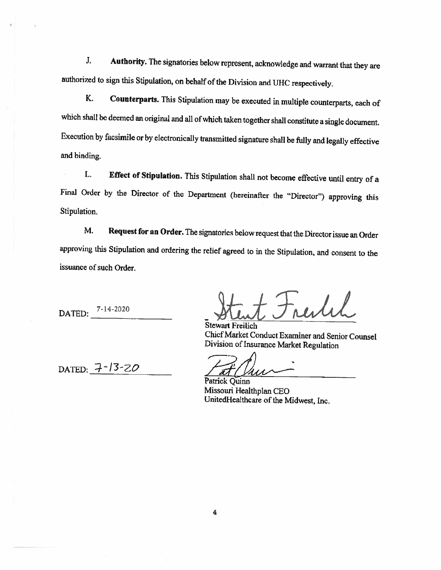J. Authority. The signatories below represent, acknowledge and warrant that they are authorized to sign this Stipulation, on behalf of the Division and UHC respectively.

K. Counterparts. This Stipulation may be executed in multiple counterparts, each of which shall be deemed an original and all ofwhich taken together shall constitute <sup>a</sup> single document. Execution by facsimile or by electronically transmitted signature shall be fully and legally effective and binding.

L, Effect of Stipulation. This Stipulation shall not become effective until entry of <sup>a</sup> Final Order by the Director of the Department (hereinafter the "Director") approving this Stipulation.

M. Request for an Order. The signatories below request that the Director issue an Order approving this Stipulation and ordering the relief agreed to in the Stipulation, and consent to the issuance of such Order.

DATED: 7-14-2020

reitil Stent Stewart Freilich

Chief Market Conduct Examiner and Senior Counsel Division of Insurance Market Regulation

DATED:  $7 - 13 - 20$ 

Patrick Quinn

Missouri Healthplan CEO UnitedHealthcare of the Midwest, Inc.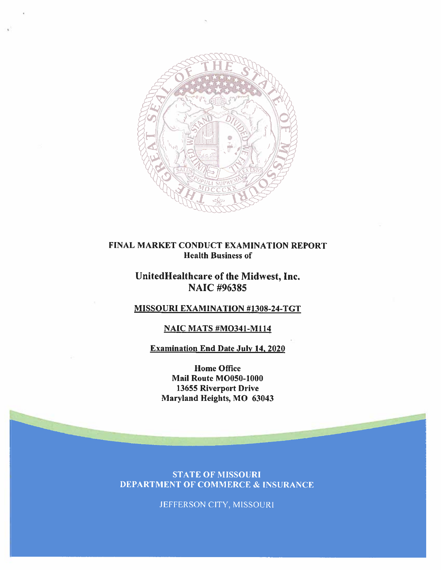

## FINAL MARKET CONDUCT EXAMINATION REPORT Health Business of

## Unitedllealthcare of the Midwest, Inc. NAIC #96385

## MISSOURI EXAMINATION #1308-24-TGT

## NAIC MATS #M0341-M114

## Examination End Date July 14, 2020

Home Office Mail Route MOO5O-1000 13655 Riverport Drive Maryland Heights, MO 63043

**STATE OF MISSOURI DEPARTMENT OF COMMERCE & INSURANCE** 

JEFFERSON CITY, MISSOURI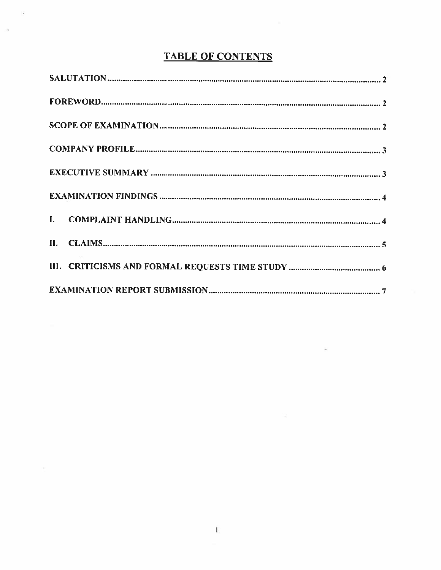# TABLE OF CONTENTS

G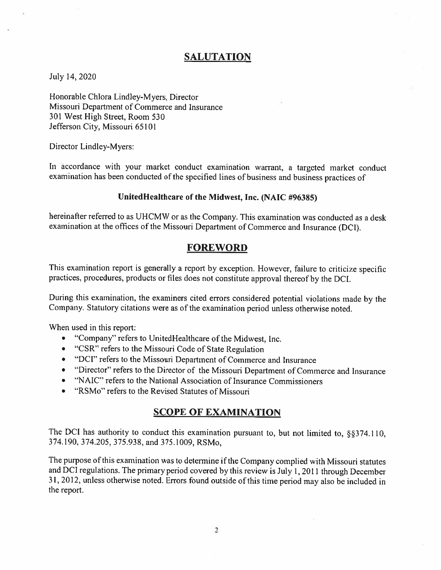## SALUTATION

### July 14, 2020

Honorable Chlora Lindley-Myers, Director Missouri Department of Commerce and Insurance 301 West High Street, Room 530 Jefferson City, Missouri 65101

Director Lindley-Myers:

In accordance with your market conduct examination warrant, <sup>a</sup> targeted market conduct examination has been conducted of the specified lines of business and business practices of

## Unitedflealthcare of the Midwest, Inc. (NAIC #96385)

hereinafter referred to as UHCMW or as the Company. This examination was conducted as a desk examination at the offices of the Missouri Department of Commerce and Insurance (DCI).

## **FOREWORD**

This examination report is generally <sup>a</sup> report by exception. However, failure to criticize specific practices., procedures. products or files does not constitute approval thereof by the DCI.

During this examination, the examiners cited errors considered potential violations made by the Company. Statutory citations were as of the examination period unless otherwise noted.

When used in this report:

- •"Company" refers to UnitedHealthcare of the Midwest, Inc.
- "CSR" refers to the Missouri Code of State Regulation
- "DCI" refers to the Missouri Department of Commerce and Insurance
- "Director" refers to the Director of the Missouri Department of Commerce and Insurance
- •"NAIC" refers to the National Association of Insurance Commissioners
- •"RSMo" refers to the Revised Statutes of Missouri

## SCOPE OF EXAMINATION

The DCI has authority to conduct this examination pursuant to, but not limited to,  $\S$ §374.110, 374.190, 374.205, 375.938, and 375.1009. RSMo.

The purpose of this examination was to determine if the Company complied with Missouri statutes and DCI regulations. The primary period covered by this review is July 1, 2011 through December 31. 2012. unless otherwise noted. Errors found outside of this time period may also be included in the report.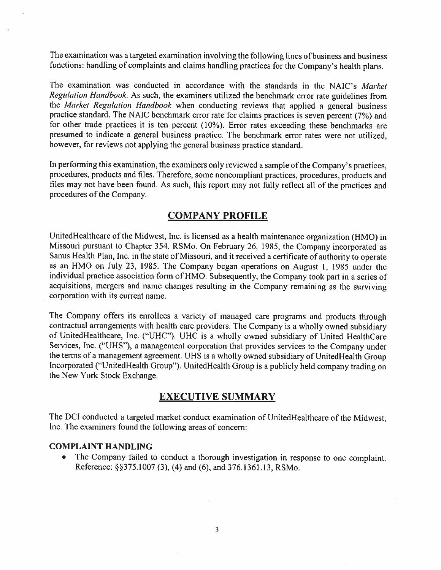The examination was <sup>a</sup> targeted examination involving the following lines of business and business functions: handling of complaints and claims handling practices for the Company's health <sup>p</sup>lans.

The examination was conducted in accordance with the standards in the NAIC's Market Regulation Handbook. As such, the examiners utilized the benchmark error rate guidelines from the Market Regulation Handbook when conducting reviews that applied a general business practice standard. The NAIC benchmark error rate for claims practices is seven percen<sup>t</sup> (7%) and for other trade practices it is ten percen<sup>t</sup> (10%). Error rates exceeding these benchmarks are presume<sup>d</sup> to indicate <sup>a</sup> genera<sup>l</sup> business practice. The benchmark error rates were not utilized, however, for reviews not applying the genera<sup>l</sup> business practice standard.

In performing this examination, the examiners only reviewed a sample of the Company's practices, procedures, products and tiles, Therefore. some noncompliant practices, procedures. products and files may not have been found. As such, this report may not fully reflect all of the practices and procedures of the Company.

## COMPANY PROFILE

UnitedHealthcare of the Midwest, Inc. is licensed as a health maintenance organization (HMO) in Missouri pursuan<sup>t</sup> to Chapter 354, RSMo. On February 26, 1985, the Company incorporated as Sanus Health Plan. Inc. in the state of Missouri, and it received <sup>a</sup> certificate of authority to operate as an HMO on July 23, 1985. The Company began operations on August 1, 1985 under the individual practice association form of HMO. Subsequently, the Company took par<sup>t</sup> in <sup>a</sup> series of acquisitions, mergers and name changes resulting in the Company remaining as the surviving corporation with its current name.

The Company offers its enrollees <sup>a</sup> variety of manage<sup>d</sup> care programs and products through contractual arrangements with health care providers, The Company is <sup>a</sup> wholly owned subsidiary' of UnitedHealthcare, Inc. ("UHC"). UHC is a wholly owned subsidiary of United HealthCare Services. Inc. ("UKS"). <sup>a</sup> managemen<sup>t</sup> corporation that provides services to the Company under the terms of a management agreement. UHS is a wholly owned subsidiary of UnitedHealth Group Incorporated ("UnitedHealth Group"). UnitedHealth Group is a publicly held company trading on the New York Stock Exchange.

## EXECUTIVE SUMMARY

The DCI conducted <sup>a</sup> targeted market conduct examination of UnitedHealthcare of the Midwest, Inc. The examiners found the following areas of concern:

#### COMPLAINT HANDLING

. The Company failed to conduct <sup>a</sup> thorough investigation in response to one complaint. Reference: §S375.l 007 (3). (4) and (6). and 376.1361.13. RSMo.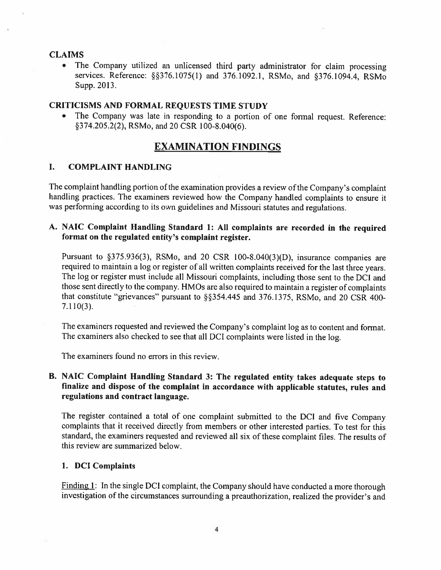## CLAIMS

• The Company utilized an unlicensed third party administrator for claim processing services. Reference: §§376.1075(1) and 376.1092.1, RSMo, and §376.1094.4, RSMo Supp. 2013.

### CRITICISMS AND FORMAL REQUESTS TIME STUDY

• The Company was late in responding to <sup>a</sup> portion of one formal request. Reference: §374.205.2(2), RSMo, and 20 CSR 100-8.040(6).

## EXAMINATION FiNDINGS

#### L COMPLAINT HANDLING

The complaint handling portion of the examination provides <sup>a</sup> review of the Company's complaint handling practices. The examiners reviewed how the Company handled complaints to ensure it was performing according to its own guidelines and Missouri statutes and regulations.

## A. NAIC Complaint Handling Standard 1: All complaints are recorded in the required format on the regulated entity's complaint register.

Pursuant to §375.936(3). RSMo. and <sup>20</sup> CSR l00-8.040(3)(D). insurance companies are required to maintain a log or register of all written complaints received for the last three years. The log or register must include all Missouri complaints, including those sent to the DCI and those sent directly to the company. HMOs are also required to maintain a register of complaints that constitute "grievances" pursuant to §354.445 and 376.1375, RSMo, and 20 CSR 400- 7.110(3).

The examiners requested and reviewed the Company's complaint log as to content and format. The examiners also checked to see that all DCI complaints were listed in the log.

The examiners found no errors in this review.

## B. NAIC Complaint Handling Standard 3: The regulated entity takes adequate steps to finalize and dispose of the complaint in accordance with applicable statutes, rules and regulations and contract language.

The register contained <sup>a</sup> total of one complaint submitted to the DCI and five Company complaints that it received directly from members or other interested parties. To test for this standard, the examiners requested and reviewed all six of these complaint files. The results of this review are summarized below.

#### 1. DCI Complaints

Finding 1: In the single DCI complaint, the Company should have conducted a more thorough investigation of the circumstances surrounding <sup>a</sup> preauthorization. realized the provider's and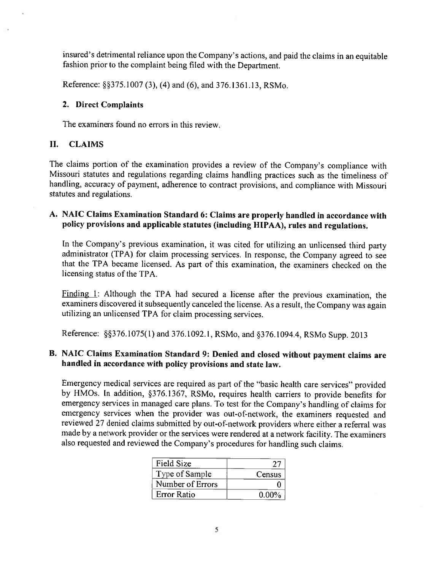insured's detrimental reliance upon the Company's actions, and paid the claims in an equitable fashion prior to the complaint being filed with the Department.

Reference: §375. 1007 (3), (4) and (6), and 376.1361.13, RSMo.

### 2. Direct Complaints

The examiners found no errors in this review.

## II. CLAIMS

The claims portion of the examination provides <sup>a</sup> review of the Company's compliance with Missouri statutes and regulations regarding claims handling practices such as the timeliness of handling, accuracy of payment, adherence to contract provisions, and compliance with Missouri statutes and regulations.

## A. NAIC Claims Examination Standard 6: Claims are properly handled in accordance with policy provisions and applicable statutes (including HLPAA), rules and regulations.

In the Company's previous examination, it was cited for utilizing an unlicensed third party administrator (TPA) for claim processing services. In response. the Company agreed to see that the TPA became licensed. As part of this examination, the examiners checked on the licensing status of the TPA.

Finding  $1$ : Although the TPA had secured a license after the previous examination, the examiners discovered it subsequently canceled the license. As <sup>a</sup> result, the Company was again utilizing an unlicensed TPA for claim processing services.

Reference: §§376.1075(1) and 376.1092.1, RSMo, and §376.1094.4, RSMo Supp. 2013

## B. NAIC Claims Examination Standard 9: Denied and closed without payment claims are handled in accordance with policy provisions and state law.

Emergency medical services are required as part of the "basic health care services" provided by HMOs. In addition, §376.1367, RSMo, requires health carriers to provide benefits for emergency services in managed care <sup>p</sup>lans. To test for the Company's handling of claims for emergency services when the provider was out-of-network, the examiners requested and reviewed 27 denied claims submitted by out-of-network providers where either a referral was made by <sup>a</sup> network provider or the services were rendered at <sup>a</sup> network facility. The examiners also requested and reviewed the Company's procedures for handling such claims.

| <b>Field Size</b>  |          |
|--------------------|----------|
| Type of Sample     | Census   |
| Number of Errors   |          |
| <b>Error Ratio</b> | $0.00\%$ |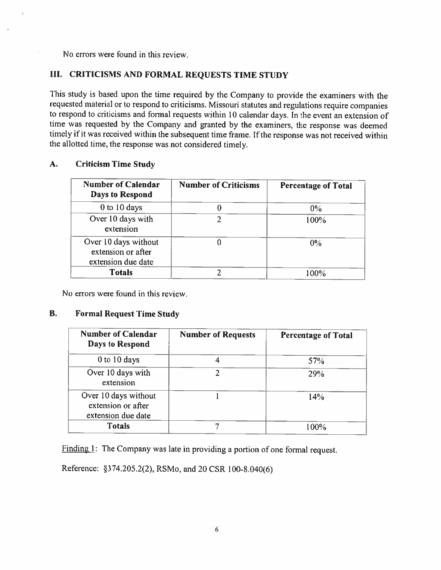No errors were found in this review.

## III. CRITICISMS AND FORMAL REQUESTS TIME STUDY

This study is based upon the time required by the Company to provide the examiners with the requested material or to respond to criticisms. Missouri statutes and regulations require companies to respond to criticisms and formal requests within <sup>10</sup> calendar days. In the event an extension of time was requested by the Company and granted by the examiners., the response was deemed timely if it was received within the subsequent time frame. If the response was not received within the allotted time, the response was not considered timely.

## A. Criticism Time Study

| <b>Number of Calendar</b><br>Days to Respond                     | <b>Number of Criticisms</b> | <b>Percentage of Total</b> |
|------------------------------------------------------------------|-----------------------------|----------------------------|
| $0$ to $10$ days                                                 |                             | $0\%$                      |
| Over 10 days with<br>extension                                   |                             | 100%                       |
| Over 10 days without<br>extension or after<br>extension due date |                             | $0\%$                      |
| <b>Totals</b>                                                    |                             | 100%                       |

No errors were found in this review.

#### B. Formal Request Time Study

| <b>Number of Calendar</b><br>Days to Respond                     | <b>Number of Requests</b> | <b>Percentage of Total</b> |
|------------------------------------------------------------------|---------------------------|----------------------------|
| 0 to 10 days                                                     |                           | 57%                        |
| Over 10 days with<br>extension                                   |                           | <b>29%</b>                 |
| Over 10 days without<br>extension or after<br>extension due date |                           | 14%                        |
| <b>Totals</b>                                                    |                           | 100%                       |

Finding 1: The Company was late in providing a portion of one formal request.

Reference: 374.205.2(2). RSMo. and <sup>20</sup> CSR 100-8.040(6)